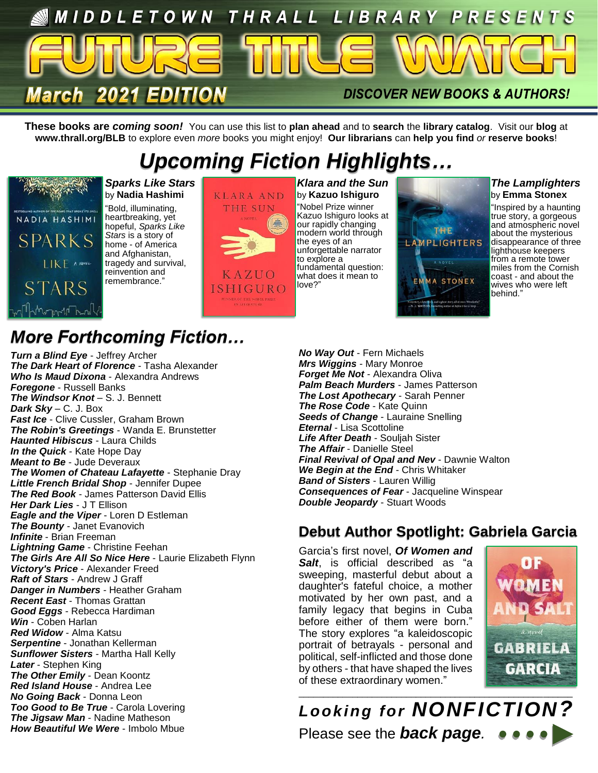

**These books are** *coming soon!* You can use this list to **plan ahead** and to **search** the **library catalog**. Visit our **blog** at **www.thrall.org/BLB** to explore even *more* books you might enjoy! **Our librarians** can **help you find** *or* **reserve books**!

## *Upcoming Fiction Highlights…*



*Sparks Like Stars* by **Nadia Hashimi** "Bold, illuminating, heartbreaking, yet hopeful, *Sparks Like Stars* is a story of home - of America and Afghanistan, tragedy and survival, reinvention and remembrance."



*Klara and the Sun* by **Kazuo Ishiguro** "Nobel Prize winner Kazuo Ishiguro looks at our rapidly changing modern world through the eyes of an unforgettable narrator to explore a fundamental question: what does it mean to love?"



*The Lamplighters* by **Emma Stonex**

"Inspired by a haunting true story, a gorgeous and atmospheric novel about the mysterious disappearance of three lighthouse keepers from a remote tower miles from the Cornish coast - and about the wives who were left behind."

## *More Forthcoming Fiction…*

*Turn a Blind Eye* - Jeffrey Archer *The Dark Heart of Florence* - Tasha Alexander *Who Is Maud Dixona* - Alexandra Andrews *Foregone* - Russell Banks *The Windsor Knot* – S. J. Bennett *Dark Sky* – C. J. Box *Fast Ice* - Clive Cussler, Graham Brown *The Robin's Greetings* - Wanda E. Brunstetter *Haunted Hibiscus* - Laura Childs *In the Quick* - Kate Hope Day *Meant to Be* - Jude Deveraux *The Women of Chateau Lafayette* - Stephanie Dray *Little French Bridal Shop* - Jennifer Dupee **The Red Book** - James Patterson David Ellis *Her Dark Lies* - J T Ellison *Eagle and the Viper* - Loren D Estleman *The Bounty* - Janet Evanovich *Infinite* - Brian Freeman *Lightning Game* - Christine Feehan *The Girls Are All So Nice Here* - Laurie Elizabeth Flynn *Victory's Price* - Alexander Freed *Raft of Stars* - Andrew J Graff *Danger in Numbers* - Heather Graham *Recent East* - Thomas Grattan *Good Eggs* - Rebecca Hardiman *Win* - Coben Harlan *Red Widow* - Alma Katsu *Serpentine* - Jonathan Kellerman *Sunflower Sisters* - Martha Hall Kelly *Later* - Stephen King *The Other Emily* - Dean Koontz *Red Island House* - Andrea Lee *No Going Back* - Donna Leon *Too Good to Be True* - Carola Lovering *The Jigsaw Man* - Nadine Matheson *How Beautiful We Were* - Imbolo Mbue

*No Way Out* - Fern Michaels *Mrs Wiggins* - Mary Monroe *Forget Me Not* - Alexandra Oliva *Palm Beach Murders* - James Patterson *The Lost Apothecary* - Sarah Penner *The Rose Code* - Kate Quinn *Seeds of Change* - Lauraine Snelling *Eternal* - Lisa Scottoline *Life After Death* - Souljah Sister *The Affair* - Danielle Steel *Final Revival of Opal and Nev* - Dawnie Walton *We Begin at the End* - Chris Whitaker *Band of Sisters* - Lauren Willig *Consequences of Fear* - Jacqueline Winspear *Double Jeopardy* - Stuart Woods

### **Debut Author Spotlight: Gabriela Garcia**

Garcia's first novel, *Of Women and*  **Salt**, is official described as "a sweeping, masterful debut about a daughter's fateful choice, a mother motivated by her own past, and a family legacy that begins in Cuba before either of them were born." The story explores "a kaleidoscopic portrait of betrayals - personal and political, self-inflicted and those done by others - that have shaped the lives of these extraordinary women."



*Looking for NONFICTION?* Please see the *back page.*